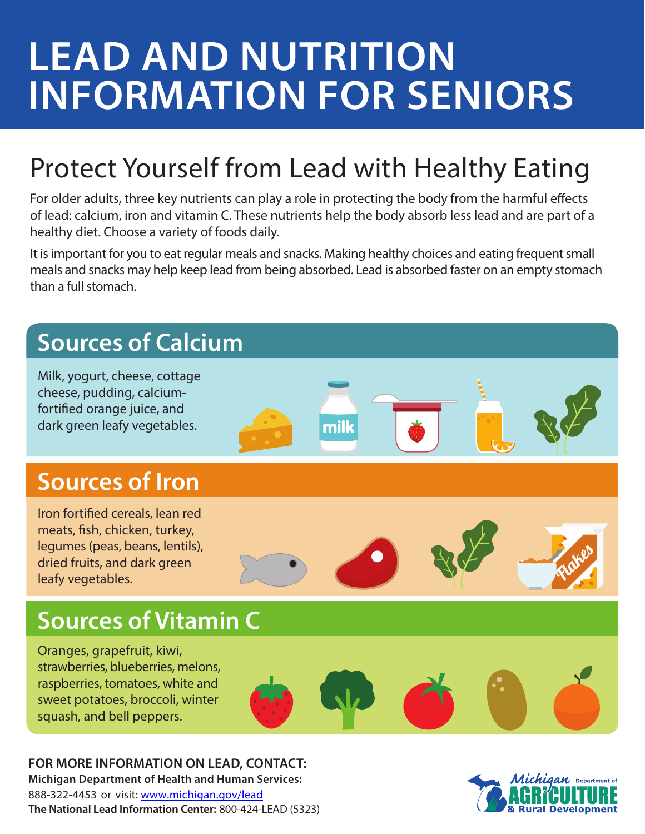# **LEAD AND NUTRITION INFORMATION FOR SENIORS**

### Protect Yourself from Lead with Healthy Eating

For older adults, three key nutrients can play a role in protecting the body from the harmful effects of lead: calcium, iron and vitamin C. These nutrients help the body absorb less lead and are part of a healthy diet. Choose a variety of foods daily.

It is important for you to eat regular meals and snacks. Making healthy choices and eating frequent small meals and snacks may help keep lead from being absorbed. Lead is absorbed faster on an empty stomach than a full stomach.

### **Sources of Calcium** Milk, yogurt, cheese, cottage cheese, pudding, calciumfortified orange juice, and milk dark green leafy vegetables. **Sources of Iron**  Iron fortified cereals, lean red meats, fish, chicken, turkey, legumes (peas, beans, lentils), dried fruits, and dark green leafy vegetables. **Sources of Vitamin C** Oranges, grapefruit, kiwi, strawberries, blueberries, melons, raspberries, tomatoes, white and sweet potatoes, broccoli, winter squash, and bell peppers.

**FOR MORE INFORMATION ON LEAD, CONTACT: Michigan Department of Health and Human Services:**

888-322-4453 or visit: [www.michigan.gov/lead](http://www.michigan.gov/lead) **The National Lead Information Center:** 800-424-LEAD (5323)